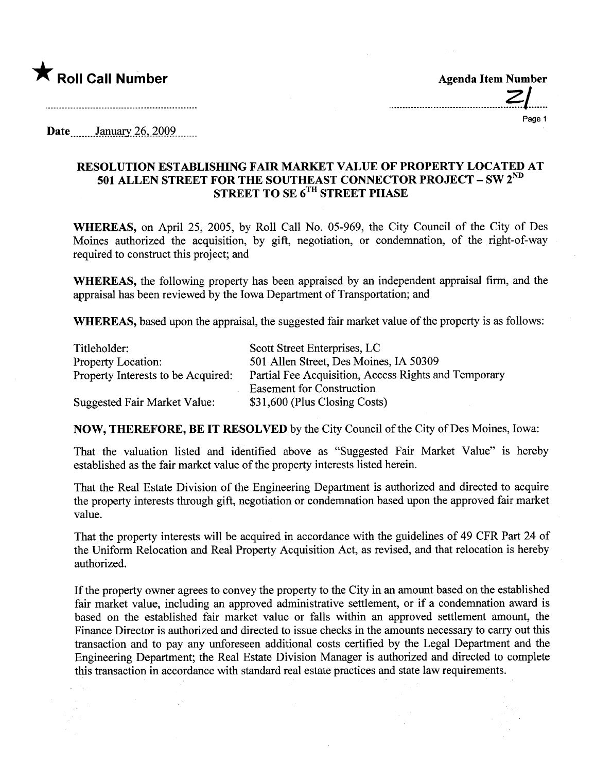

..........................................?I......

Page 1

 $\textbf{Date}$  January 26, 2009

## RESOLUTION ESTABLISHING FAIR MARKET VALUE OF PROPERTY LOCATED AT 501 ALLEN STREET FOR THE SOUTHEAST CONNECTOR PROJECT – SW  $2^{\rm{nu}}$ STREET TO SE 6<sup>1h</sup> STREET PHASE

WHEREAS, on April 25, 2005, by Roll Call No. 05-969, the City Council of the City of Des Moines authorized the acquisition, by gift, negotiation, or condemnation, of the right-of-way required to construct this project; and

WHEREAS, the following property has been appraised by an independent appraisal firm, and the appraisal has been reviewed by the Iowa Deparment of Transportation; and

WHEREAS, based upon the appraisal, the suggested fair market value of the property is as follows:

| Titleholder:                       | Scott Street Enterprises, LC                         |
|------------------------------------|------------------------------------------------------|
| <b>Property Location:</b>          | 501 Allen Street, Des Moines, IA 50309               |
| Property Interests to be Acquired: | Partial Fee Acquisition, Access Rights and Temporary |
|                                    | <b>Easement for Construction</b>                     |
| Suggested Fair Market Value:       | \$31,600 (Plus Closing Costs)                        |

NOW, THEREFORE, BE IT RESOLVED by the City Council of the City of Des Moines, Iowa:

That the valuation listed and identified above as "Suggested Fair Market Value" is hereby established as the fair market value of the property interests listed herein.

That the Real Estate Division of the Engineering Department is authorized and directed to acquire the property interests through gift, negotiation or condemnation based upon the approved fair market value.

That the property interests will be acquired in accordance with the guidelines of 49 CFR Part 24 of the Uniform Relocation and Real Property Acquisition Act, as revised, and that relocation is hereby authorized.

If the property owner agrees to convey the property to the City in an amount based on the established fair market value, including an approved administrative settlement, or if a condemnation award is based on the established fair market value or falls within an approved settlement amount, the Finance Director is authorized and directed to issue checks in the amounts necessary to carry out this transaction and to pay any unforeseen additional costs certified by the Legal Deparment and the Engineering Department; the Real Estate Division Manager is authorized and directed to complete this transaction in accordance with standard real estate practices and state law requirements.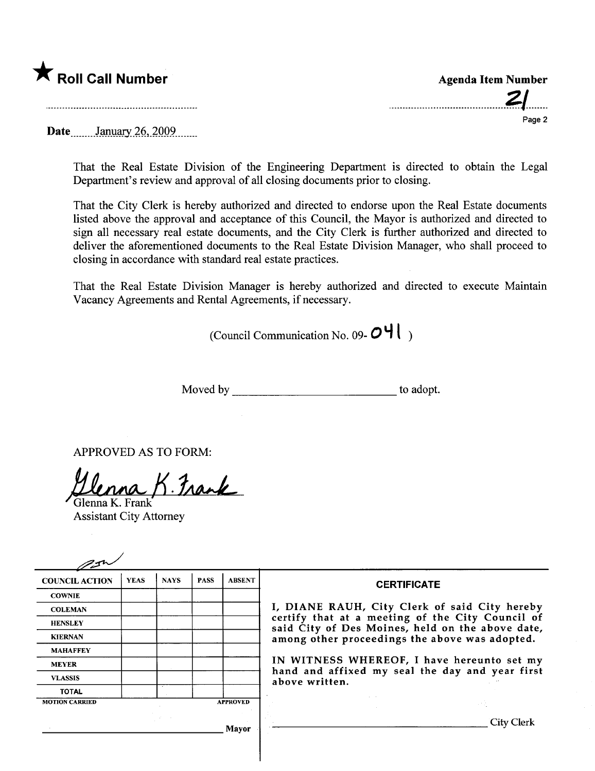

Date January 26, 2009

That the Real Estate Division of the Engineering Department is directed to obtain the Legal Department's review and approval of all closing documents prior to closing.

That the City Clerk is hereby authorized and directed to endorse upon the Real Estate documents listed above the approval and acceptance of this Council, the Mayor is authorized and directed to sign all necessary real estate documents, and the City Clerk is further authorized and directed to deliver the aforementioned documents to the Real Estate Division Manager, who shall proceed to closing in accordance with standard real estate practices.

That the Real Estate Division Manager is hereby authorized and directed to execute Maintain Vacancy Agreements and Rental Agreements, if necessary.

(Council Communication No. 09- $O\P$ )

Moved by to adopt.

APPROVED AS TO FORM:

Glenna K. Frank

Assistant City Attorney

| <b>COUNCIL ACTION</b> | <b>YEAS</b> | <b>NAYS</b> | <b>PASS</b> | <b>ABSENT</b>   | <b>CERTIFICATE</b>                                                                                                                                     |
|-----------------------|-------------|-------------|-------------|-----------------|--------------------------------------------------------------------------------------------------------------------------------------------------------|
| <b>COWNIE</b>         |             |             |             |                 |                                                                                                                                                        |
| <b>COLEMAN</b>        |             |             |             |                 | I, DIANE RAUH, City Clerk of said City hereby                                                                                                          |
| <b>HENSLEY</b>        |             |             |             |                 | certify that at a meeting of the City Council of<br>said City of Des Moines, held on the above date,<br>among other proceedings the above was adopted. |
| <b>KIERNAN</b>        |             |             |             |                 |                                                                                                                                                        |
| <b>MAHAFFEY</b>       |             |             |             |                 |                                                                                                                                                        |
| <b>MEYER</b>          |             |             |             |                 | IN WITNESS WHEREOF, I have hereunto set my                                                                                                             |
| <b>VLASSIS</b>        |             |             |             |                 | hand and affixed my seal the day and year first<br>above written.                                                                                      |
| <b>TOTAL</b>          |             |             |             |                 |                                                                                                                                                        |
| <b>MOTION CARRIED</b> |             |             |             | <b>APPROVED</b> |                                                                                                                                                        |
|                       |             |             |             | Mayor           | City Clerk                                                                                                                                             |